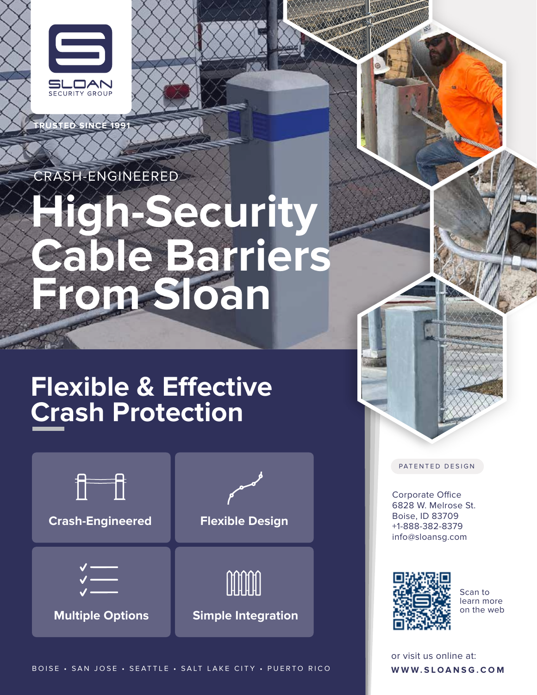

**TRUSTED SINCE 1991**

CRASH-ENGINEERED

# **High-Security Cable Barriers From Sloan**

## **Flexible & Effective Crash Protection**



BOISE • SAN JOSE • SEATTLE • SALT LAKE CITY • PUERTO RICO

PATENTED DESIGN

Corporate Office 6828 W. Melrose St. Boise, ID 83709 +1-888-382-8379 info@sloansg.com



Scan to learn more on the web

**WWW.SLOANSG.COM** or visit us online at: